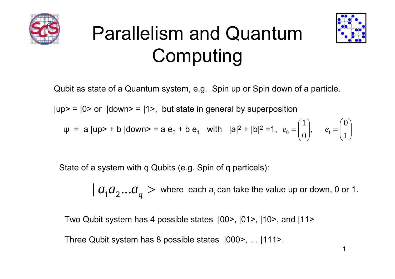

### Parallelism and Quantum Computing



Qubit as state of a Quantum system, e.g. Spin up or Spin down of a particle.

 $|up> = |0>$  or  $|down> = |1>$ , but state in general by superposition

$$
\psi = a |up> + b |down> = a e_0 + b e_1
$$
 with  $|a|^2 + |b|^2 = 1$ ,  $e_0 = \begin{pmatrix} 1 \\ 0 \end{pmatrix}$ ,  $e_1 = \begin{pmatrix} 0 \\ 1 \end{pmatrix}$ 

State of a system with q Qubits (e.g. Spin of q particels):

 $|a_1 a_2 ... a_q$  $>$  where each a<sub>i</sub> can take the value up or down, 0 or 1.

Two Qubit system has 4 possible states |00>, |01>, |10>, and |11>

Three Qubit system has 8 possible states |000>, … |111>.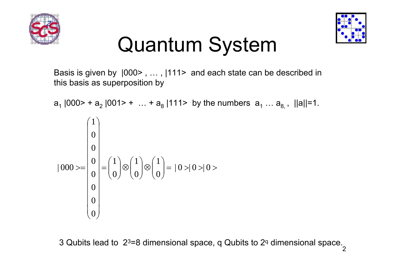



### Quantum System

Basis is given by  $|000$ , ...,  $|111$  and each state can be described in this basis as superposition by

$$
a_1 |000> + a_2 |001> + ... + a_8 |111> \text{ by the numbers } a_1 ... a_{8,1} |11|=1.
$$
\n
$$
|000> = \begin{pmatrix} 1 \\ 0 \\ 0 \\ 0 \\ 0 \\ 0 \\ 0 \end{pmatrix} = \begin{pmatrix} 1 \\ 0 \\ 0 \\ 0 \\ 0 \end{pmatrix} \otimes \begin{pmatrix} 1 \\ 0 \\ 0 \\ 0 \end{pmatrix} = |0>0>0> \qquad \qquad 0
$$

3 Qubits lead to 2<sup>3</sup>=8 dimensional space, q Qubits to 2ª dimensional space.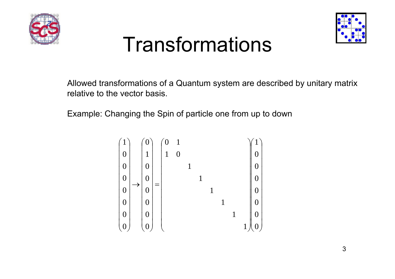



#### Transformations

Allowed transformations of a Quantum system are described by unitary matrix relative to the vector basis.

Example: Changing the Spin of particle one from up to down

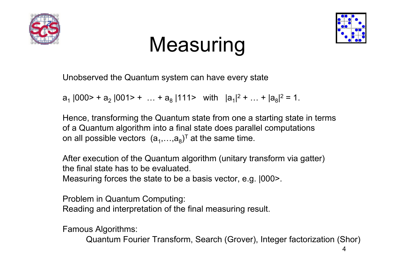



### **Measuring**

Unobserved the Quantum system can have every state

 ${\sf a}_1$  |000> +  ${\sf a}_2$  |001> +  $\;\dots$  +  ${\sf a}_8$  |111>  $\;\;\text{with}\;\;$   $|{\sf a}_1|^{2}$  +  $\;\dots$  +  $|{\sf a}_8|^{2}$  = 1.

Hence, transforming the Quantum state from one a starting state in terms of a Quantum algorithm into a final state does parallel computations on all possible vectors  $(a_1,...,a_8)^\top$  at the same time.

After execution of the Quantum algorithm (unitary transform via gatter) the final state has to be evaluated.Measuring forces the state to be a basis vector, e.g. |000>.

Problem in Quantum Computing: Reading and interpretation of the final measuring result.

Famous Algorithms:

Quantum Fourier Transform, Search (Grover), Integer factorization (Shor)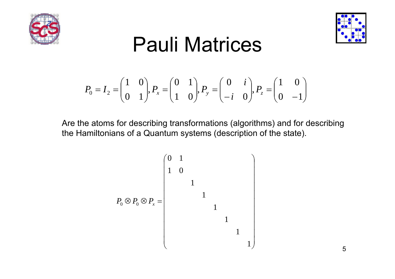



#### Pauli Matrices

$$
P_0 = I_2 = \begin{pmatrix} 1 & 0 \\ 0 & 1 \end{pmatrix}, P_x = \begin{pmatrix} 0 & 1 \\ 1 & 0 \end{pmatrix}, P_y = \begin{pmatrix} 0 & i \\ -i & 0 \end{pmatrix}, P_z = \begin{pmatrix} 1 & 0 \\ 0 & -1 \end{pmatrix}
$$

Are the atoms for describing transformations (algorithms) and for describing the Hamiltonians of a Quantum systems (description of the state).

$$
P_0 \otimes P_0 \otimes P_x = \begin{pmatrix} 0 & 1 & & & & & \\ & 1 & 0 & & & & & \\ & & 1 & & & & & \\ & & & 1 & & & & \\ & & & & 1 & & & \\ & & & & & 1 & & \\ & & & & & & 1 & & \\ & & & & & & & 1 \end{pmatrix}
$$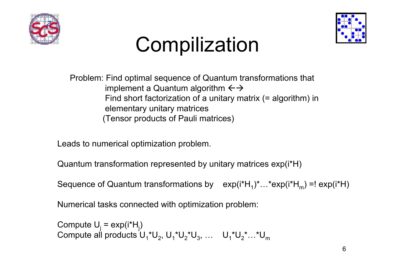



# **Compilization**

Problem: Find optimal sequence of Quantum transformations that implement a Quantum algorithm  $\leftrightarrow$ Find short factorization of a unitary matrix (= algorithm) in elementary unitary matrices (Tensor products of Pauli matrices)

Leads to numerical optimization problem.

Quantum transformation represented by unitary matrices exp(i\*H)

Sequence of Quantum transformations by  $\quad$  exp(i\*H $_{1})^{\star}...$ \*exp(i\*H $_{\mathrm{m}}$ ) =! exp(i\*H)

Numerical tasks connected with optimization problem:

Compute U<sub>j</sub> = exp(i\*H<sub>j</sub>) Compute all products  $\mathsf{U_1}^\star\mathsf{U_2}$ ,  $\mathsf{U_1}^\star\mathsf{U_2}^\star\mathsf{U_3}$ , …  $\mathsf{U_1}^\star\mathsf{U_2}^\star...^\star\mathsf{U_m}$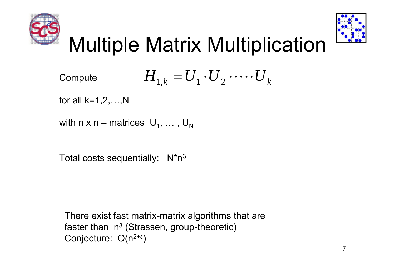



# Multiple Matrix Multiplication

Compute 
$$
H_{1,k} = U_1 \cdot U_2 \cdot \cdots \cdot U_k
$$

for all  $k=1,2,...,N$ 

```
with n x n – matrices \,\mathsf{U}_1^{},\,\dots\,,\,\mathsf{U}_\mathsf{N}^{}
```
Total costs sequentially: 3

There exist fast matrix-matrix algorithms that are faster than  $\,$  n $^{3}$  (Strassen, group-theoretic)  $\,$ Conjecture: O(n<sup>2+ε</sup> )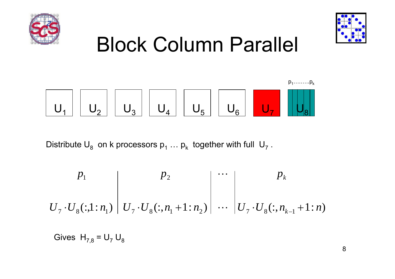



# Block Column Parallel



Distribute  $\mathsf{U}_8^{}$  on k processors  $\mathsf{p}_1^{} \, ... \, \mathsf{p}_\mathsf{k}^{}$  together with full  $\mathsf{U}_7^{}$  .

$$
U_7 \cdot U_8(:,1:n_1) \left| \begin{array}{c} p_2 \\ U_7 \cdot U_8(:,n_1+1:n_2) \end{array} \right| \cdots \left| \begin{array}{c} p_k \\ \vdots \\ v_7 \cdot U_8(:,n_{k-1}+1:n) \end{array} \right|
$$

Gives  $\, {\sf H}_{7,8}$  =  ${\sf U}_7 \, {\sf U}_8$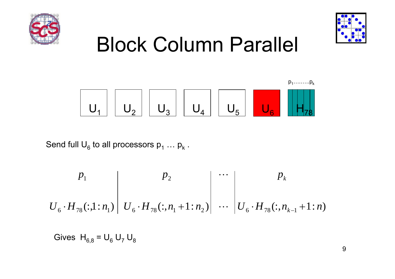



 $p_1$  in  $p_2$ 

# Block Column Parallel

U1 U 2U3U4U5U6H78

Send full  $\mathsf{U}_{6}$  to all processors  $\mathsf{p}_1 \, ... \, \mathsf{p}_\mathsf{k}$  .

$$
U_6 \cdot H_{78}(:,1:n_1) \left| U_6 \cdot H_{78}(:,n_1+1:n_2) \right| \cdots \left| U_6 \cdot H_{78}(:,n_{k-1}+1:n) \right|
$$

Gives  $\, {\sf H}_{6,8}$  =  ${\sf U}_6 \, {\sf U}_7 \, {\sf U}_8$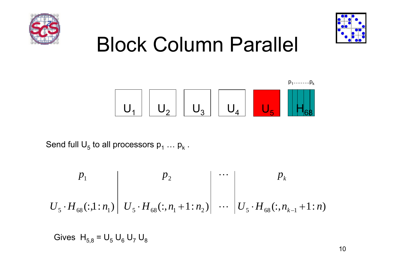



 $p_1$  in  $p_2$ 

# Block Column Parallel

U1 U 2U3U4U5H68

Send full  $\mathsf{U}_5$  to all processors  $\mathsf{p}_1 \, ... \, \mathsf{p}_\mathsf{k}$  .

$$
P_1
$$
\n
$$
U_5 \cdot H_{68}(:,1:n_1) \mid U_5 \cdot H_{68}(:,n_1+1:n_2) \mid \cdots \mid U_5 \cdot H_{68}(:,n_{k-1}+1:n)
$$

Gives  ${\sf H}_{5,8}$  =  ${\sf U}_5\,{\sf U}_6\,{\sf U}_7\,{\sf U}_8$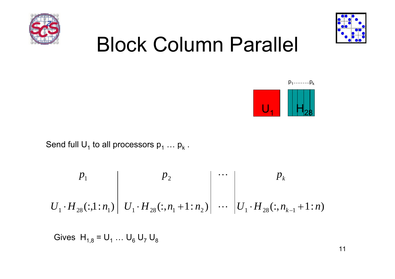



# Block Column Parallel



Send full  $\mathsf{U}_1$  to all processors  $\mathsf{p}_1 \, ... \, \mathsf{p}_\mathsf{k}$  .

$$
P_1
$$
\n
$$
U_1 \cdot H_{28}(:,1:n_1) \mid U_1 \cdot H_{28}(:,n_1+1:n_2) \mid \cdots \mid U_1 \cdot H_{28}(:,n_{k-1}+1:n)
$$

Gives  $\, {\sf H}_{1,8}^{}$  =  ${\sf U}_1^{} \ldots {\sf U}_6^{} \, {\sf U}_7^{} \, {\sf U}_8^{}$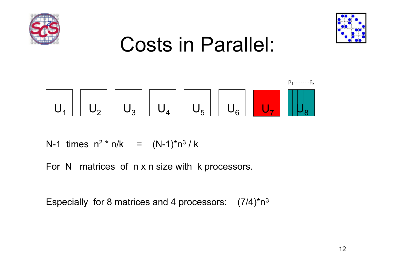



### Costs in Parallel:



N-1 times n 2 \* n/k = (N-1)\*n 3 / k

For N matrices of n x n size with k processors.

Especially for 8 matrices and 4 processors:  $\,$  (7/4)\*n $^3$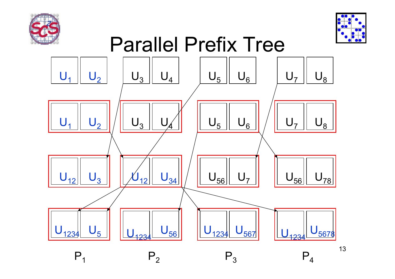



13

#### Parallel Prefix Tree

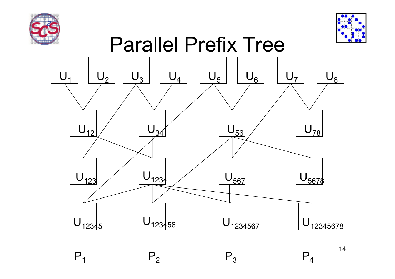

 $P<sub>1</sub>$ 

 $P_2$ 



#### Parallel Prefix Tree



 $\mathsf{P}_3$ 

14

 $\mathsf{P}_4$